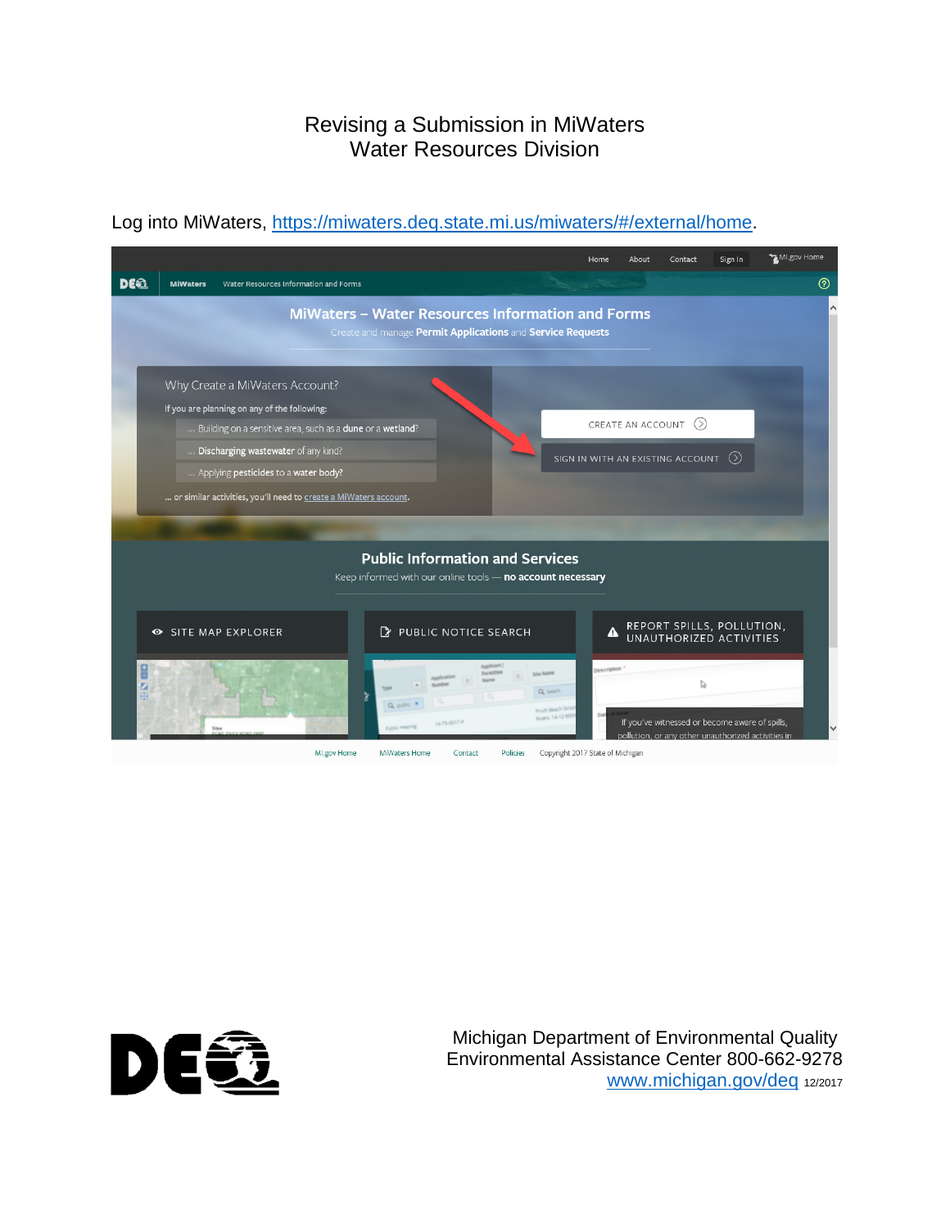## Revising a Submission in MiWaters Water Resources Division

#### MI.gov Home Sign In Home About Contact **DEQ**  $\odot$ MiWaters Water Resources Information and Forms MiWaters - Water Resources Information and Forms Create and manage Permit Applications and Service Requests Why Create a MiWaters Account? If you are planning on any of the following: CREATE AN ACCOUNT  $\circledcirc$ Building on a sensitive area, such as a **dune** or a w<mark>etland</mark>? Discharging wastewater of any kind? SIGN IN WITH AN EXISTING ACCOUNT  $~\odot~$ Applying pesticides to a water body? ... or similar activities, you'll need to <u>create a MiWaters account</u>. **Public Information and Services** Keep informed with our online tools - no account necessary REPORT SPILLS, POLLUTION,<br>UNAUTHORIZED ACTIVITIES SITE MAP EXPLORER PUBLIC NOTICE SEARCH  $\blacktriangle$  $\mathbb{D}$ Q<sub>ber</sub> If you've witnessed or become aware of spills, <u>sllution, or any other unauthorized activities i</u> Ml.gov Home MiWaters Home Contact Policies Copyright 2017 State of Michigan

### Log into MiWaters, <https://miwaters.deq.state.mi.us/miwaters/#/external/home>.



Michigan Department of Environmental Quality Environmental Assistance Center 800-662-9278 [www.michigan.gov/deq](http://www.michigan.gov/deq) 12/2017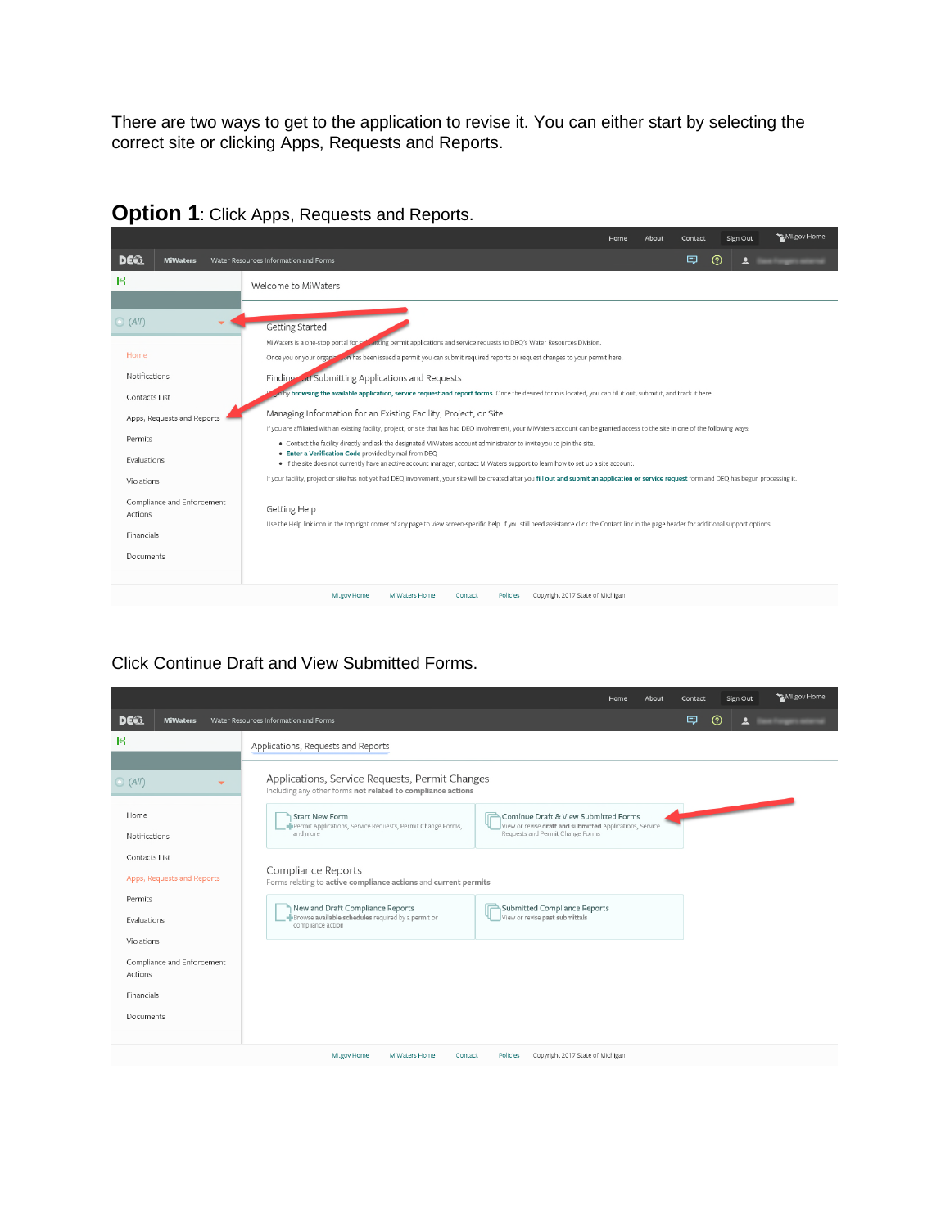There are two ways to get to the application to revise it. You can either start by selecting the correct site or clicking Apps, Requests and Reports.

|                                                                                                         | MI.gov Home<br>Home<br>About<br>Sign Out<br>Contact                                                                                                                                                                                                                                                                                                                                                                                                                                                                                                                                                                                                                                                                                                                                                                                                                                                                                                                                                                                                                                                  |
|---------------------------------------------------------------------------------------------------------|------------------------------------------------------------------------------------------------------------------------------------------------------------------------------------------------------------------------------------------------------------------------------------------------------------------------------------------------------------------------------------------------------------------------------------------------------------------------------------------------------------------------------------------------------------------------------------------------------------------------------------------------------------------------------------------------------------------------------------------------------------------------------------------------------------------------------------------------------------------------------------------------------------------------------------------------------------------------------------------------------------------------------------------------------------------------------------------------------|
| DE62<br><b>MiWaters</b>                                                                                 | ل⊐<br>℗<br>Water Resources Information and Forms                                                                                                                                                                                                                                                                                                                                                                                                                                                                                                                                                                                                                                                                                                                                                                                                                                                                                                                                                                                                                                                     |
| ĸ                                                                                                       | Welcome to MiWaters                                                                                                                                                                                                                                                                                                                                                                                                                                                                                                                                                                                                                                                                                                                                                                                                                                                                                                                                                                                                                                                                                  |
| (AII)<br>Home<br>Notifications<br>Contacts List<br>Apps, Requests and Reports<br>Permits<br>Evaluations | Getting Started<br><b>Containst permit applications and service requests to DEQ's Water Resources Division.</b><br>MiWaters is a one-stop portal for set<br>Once you or your organized on has been issued a permit you can submit required reports or request changes to your permit here.<br>Finding  id Submitting Applications and Requests<br>on by browsing the available application, service request and report forms. Once the desired form is located, you can fill it out, submit it, and track it here.<br>Managing Information for an Existing Facility, Project, or Site<br>If you are affiliated with an existing facility, project, or site that has had DEQ involvement, your MiWaters account can be granted access to the site in one of the following ways:<br>. Contact the facility directly and ask the designated MiWaters account administrator to invite you to join the site.<br>. Enter a Verification Code provided by mail from DEQ<br>. If the site does not currently have an active account manager, contact MiWaters support to learn how to set up a site account. |
| Violations<br>Compliance and Enforcement<br>Actions<br><b>Financials</b><br>Documents                   | If your facility, project or site has not yet had DEQ involvement, your site will be created after you fill out and submit an application or service request form and DEQ has begun processing it.<br>Getting Help<br>Use the Help link icon in the top right comer of any page to view screen-specific help. If you still need assistance click the Contact link in the page header for additional support options.                                                                                                                                                                                                                                                                                                                                                                                                                                                                                                                                                                                                                                                                                 |
|                                                                                                         | Copyright 2017 State of Michigan<br>MI.gov Home<br>Policies<br><b>MiWaters Home</b><br>Contact                                                                                                                                                                                                                                                                                                                                                                                                                                                                                                                                                                                                                                                                                                                                                                                                                                                                                                                                                                                                       |

# **Option 1**: Click Apps, Requests and Reports.

#### Click Continue Draft and View Submitted Forms.

|                                                                                                                                                                                             |                                                                                                                                                                                                                                                                                                                                                                                                                           | Home                                                                                                                                                                                                    | About | Contact | Sign Out | MI.gov Home |
|---------------------------------------------------------------------------------------------------------------------------------------------------------------------------------------------|---------------------------------------------------------------------------------------------------------------------------------------------------------------------------------------------------------------------------------------------------------------------------------------------------------------------------------------------------------------------------------------------------------------------------|---------------------------------------------------------------------------------------------------------------------------------------------------------------------------------------------------------|-------|---------|----------|-------------|
| DE2<br><b>MiWaters</b>                                                                                                                                                                      | Water Resources Information and Forms                                                                                                                                                                                                                                                                                                                                                                                     |                                                                                                                                                                                                         |       | ロ       | ൫<br>≗   |             |
| R                                                                                                                                                                                           | Applications, Requests and Reports                                                                                                                                                                                                                                                                                                                                                                                        |                                                                                                                                                                                                         |       |         |          |             |
| O(All)<br>$\overline{\phantom{a}}$<br>Home<br>Notifications<br>Contacts List<br>Apps, Requests and Reports<br>Permits<br>Evaluations<br>Violations<br>Compliance and Enforcement<br>Actions | Applications, Service Requests, Permit Changes<br>Including any other forms not related to compliance actions<br><b>Start New Form</b><br>Permit Applications, Service Requests, Permit Change Forms,<br>and more<br>Compliance Reports<br>Forms relating to active compliance actions and current permits<br>New and Draft Compliance Reports<br>Browse available schedules required by a permit or<br>compliance action | Continue Draft & View Submitted Forms<br>View or revise draft and submitted Applications, Service<br>Requests and Permit Change Forms<br>Submitted Compliance Reports<br>View or revise past submittals |       |         |          |             |
| Financials<br>Documents                                                                                                                                                                     |                                                                                                                                                                                                                                                                                                                                                                                                                           |                                                                                                                                                                                                         |       |         |          |             |
|                                                                                                                                                                                             |                                                                                                                                                                                                                                                                                                                                                                                                                           |                                                                                                                                                                                                         |       |         |          |             |
|                                                                                                                                                                                             | MI.gov Home<br>MiWaters Home<br>Contact                                                                                                                                                                                                                                                                                                                                                                                   | Copyright 2017 State of Michigan<br><b>Policies</b>                                                                                                                                                     |       |         |          |             |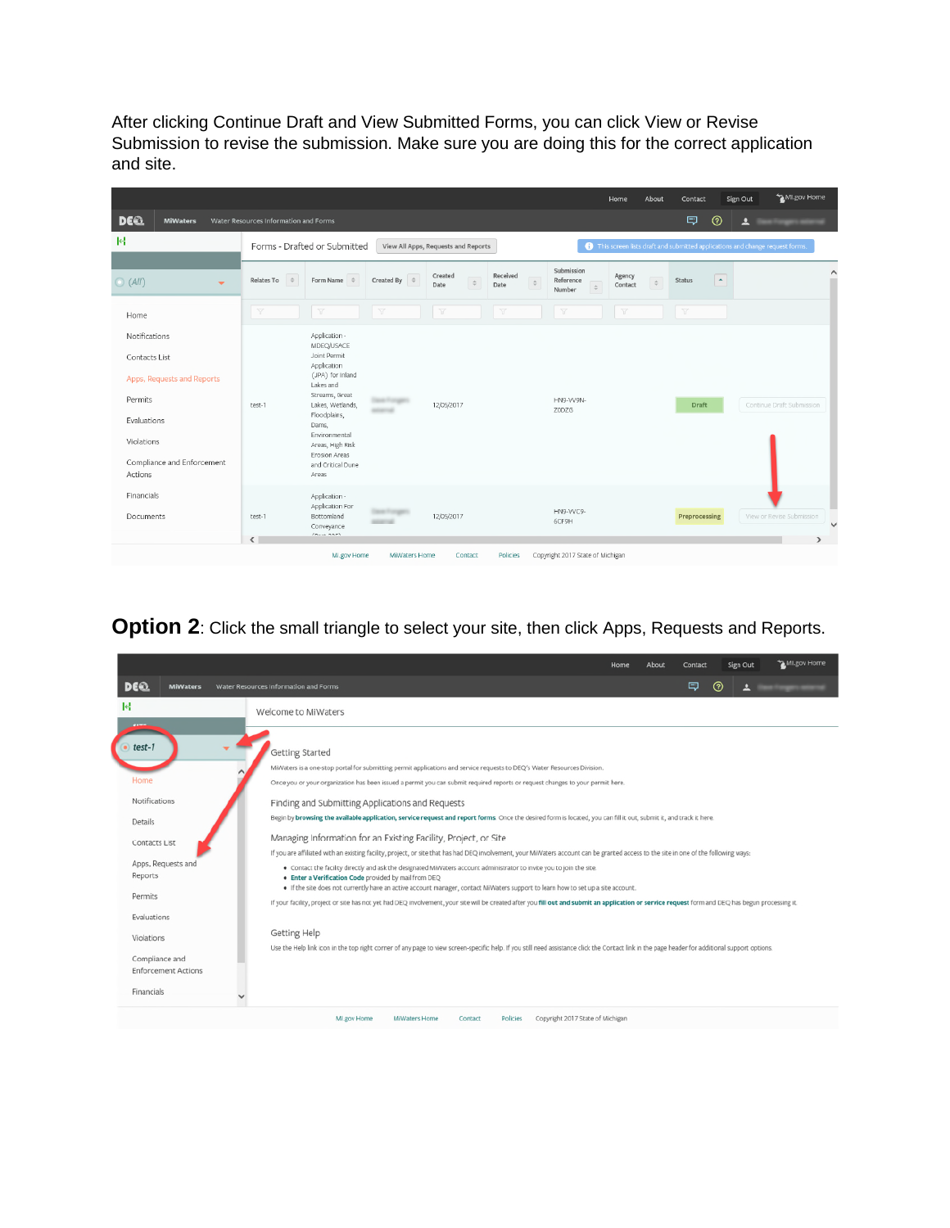After clicking Continue Draft and View Submitted Forms, you can click View or Revise Submission to revise the submission. Make sure you are doing this for the correct application and site.

|                                                                                                                                               |                                        |                                                                                                                                                                                                                                                       |                          |                                     |                                                                                 |                                   | Home                    | About  | Contact                  | Sign Out         | MI.gov Home                                                                  |
|-----------------------------------------------------------------------------------------------------------------------------------------------|----------------------------------------|-------------------------------------------------------------------------------------------------------------------------------------------------------------------------------------------------------------------------------------------------------|--------------------------|-------------------------------------|---------------------------------------------------------------------------------|-----------------------------------|-------------------------|--------|--------------------------|------------------|------------------------------------------------------------------------------|
| <b>DEE</b><br><b>MiWaters</b>                                                                                                                 | Water Resources Information and Forms  |                                                                                                                                                                                                                                                       |                          |                                     |                                                                                 |                                   |                         |        | 同                        | $^{\circ}$<br>으  |                                                                              |
| R                                                                                                                                             |                                        | Forms - Drafted or Submitted                                                                                                                                                                                                                          |                          | View All Apps, Requests and Reports |                                                                                 |                                   |                         |        |                          |                  | This screen lists draft and submitted applications and change request forms. |
| O (All)<br>$\overline{\phantom{a}}$                                                                                                           | Relates To<br>$\Rightarrow$            | Form Name<br>$\Rightarrow$                                                                                                                                                                                                                            | $\div$<br>Created By     | Created<br>$\hat{\div}$<br>Date     | Received<br>$\stackrel{\scriptscriptstyle \pm}{\scriptscriptstyle \mp}$<br>Date | Submission<br>Reference<br>Number | Agency<br>Contact       | $\div$ | <b>Status</b>            | $\blacktriangle$ | $\wedge$                                                                     |
| Home                                                                                                                                          | $\overline{\mathbb{Y}}$                | $\overline{\mathbb{Y}}$                                                                                                                                                                                                                               | $\overline{\mathcal{V}}$ | $\overline{\mathbb{Y}}$             | $\overline{\mathbb{Y}}$                                                         | $\overline{u}$                    | $\overline{\mathbb{Y}}$ |        | $\overline{\mathcal{V}}$ |                  |                                                                              |
| Notifications<br>Contacts List<br>Apps, Requests and Reports<br>Permits<br>Evaluations<br>Violations<br>Compliance and Enforcement<br>Actions | test-1                                 | Application -<br>MDEQ/USACE<br>Joint Permit<br>Application<br>(JPA) for Inland<br>Lakes and<br>Streams, Great<br>Lakes, Wetlands,<br>Floodplains,<br>Dams,<br>Environmental<br>Areas, High Risk<br><b>Erosion Areas</b><br>and Critical Dune<br>Areas |                          | 12/05/2017                          |                                                                                 | HN9-VV9N-<br>Z0DZG                |                         |        | <b>Draft</b>             |                  | Continue Draft Submission                                                    |
| Financials<br>Documents                                                                                                                       | test-1<br>$\left\langle \right\rangle$ | Application -<br>Application For<br>Bottomland<br>Conveyance<br>$m_{\rm min}$ and                                                                                                                                                                     |                          | 12/05/2017                          |                                                                                 | HN9-VVC9-<br>6CF9H                |                         |        | Preprocessing            |                  | View or Revise Submission<br>$\checkmark$                                    |
|                                                                                                                                               |                                        | MI.gov Home                                                                                                                                                                                                                                           | <b>MiWaters Home</b>     | Contact                             | Policies                                                                        | Copyright 2017 State of Michigan  |                         |        |                          |                  |                                                                              |

**Option 2**: Click the small triangle to select your site, then click Apps, Requests and Reports.

|                               |                                                                                                                                                                                                                                                                                                                                                           | Home | About | Contact | Sign Out | MI.gov Home |  |  |  |  |  |  |  |  |
|-------------------------------|-----------------------------------------------------------------------------------------------------------------------------------------------------------------------------------------------------------------------------------------------------------------------------------------------------------------------------------------------------------|------|-------|---------|----------|-------------|--|--|--|--|--|--|--|--|
| <b>DEQ</b><br><b>MiWaters</b> | Water Resources Information and Forms                                                                                                                                                                                                                                                                                                                     |      |       | ⇨       | (?)      |             |  |  |  |  |  |  |  |  |
| М                             | Welcome to MiWaters                                                                                                                                                                                                                                                                                                                                       |      |       |         |          |             |  |  |  |  |  |  |  |  |
| test-1                        |                                                                                                                                                                                                                                                                                                                                                           |      |       |         |          |             |  |  |  |  |  |  |  |  |
|                               | Getting Started                                                                                                                                                                                                                                                                                                                                           |      |       |         |          |             |  |  |  |  |  |  |  |  |
|                               | MiWaters is a one-stop portal for submitting permit applications and service requests to DEQ's Water Resources Division.                                                                                                                                                                                                                                  |      |       |         |          |             |  |  |  |  |  |  |  |  |
| Home                          | Once you or your organization has been issued a permit you can submit required reports or request changes to your permit here.<br>Finding and Submitting Applications and Requests<br>Begin by browsing the available application, service request and report forms. Once the desired form is located, you can fill it out, submit it, and track it here. |      |       |         |          |             |  |  |  |  |  |  |  |  |
| Notifications                 |                                                                                                                                                                                                                                                                                                                                                           |      |       |         |          |             |  |  |  |  |  |  |  |  |
| Details                       |                                                                                                                                                                                                                                                                                                                                                           |      |       |         |          |             |  |  |  |  |  |  |  |  |
| Contacts List                 | Managing Information for an Existing Facility, Project, or Site                                                                                                                                                                                                                                                                                           |      |       |         |          |             |  |  |  |  |  |  |  |  |
|                               | If you are affiliated with an existing facility, project, or site that has had DEQ involvement, your MiWaters account can be granted access to the site in one of the following ways:                                                                                                                                                                     |      |       |         |          |             |  |  |  |  |  |  |  |  |
| Apps, Requests and            | . Contact the facility directly and ask the designated MiWaters account administrator to invite you to join the site.                                                                                                                                                                                                                                     |      |       |         |          |             |  |  |  |  |  |  |  |  |
| Reports                       | . Enter a Verification Code provided by mail from DEQ<br>. If the site does not currently have an active account manager, contact MiWaters support to learn how to set up a site account.                                                                                                                                                                 |      |       |         |          |             |  |  |  |  |  |  |  |  |
| Permits                       | If your facility, project or site has not yet had DEQ involvement, your site will be created after you fill out and submit an application or service request form and DEQ has begun processing it.                                                                                                                                                        |      |       |         |          |             |  |  |  |  |  |  |  |  |
| Evaluations                   |                                                                                                                                                                                                                                                                                                                                                           |      |       |         |          |             |  |  |  |  |  |  |  |  |
| Violations                    | Getting Help                                                                                                                                                                                                                                                                                                                                              |      |       |         |          |             |  |  |  |  |  |  |  |  |
|                               | Use the Help link icon in the top right corner of any page to view screen-specific help. If you still need assistance click the Contact link in the page header for additional support options.                                                                                                                                                           |      |       |         |          |             |  |  |  |  |  |  |  |  |
| Compliance and                |                                                                                                                                                                                                                                                                                                                                                           |      |       |         |          |             |  |  |  |  |  |  |  |  |
| <b>Enforcement Actions</b>    |                                                                                                                                                                                                                                                                                                                                                           |      |       |         |          |             |  |  |  |  |  |  |  |  |
| Financials                    |                                                                                                                                                                                                                                                                                                                                                           |      |       |         |          |             |  |  |  |  |  |  |  |  |
|                               | Copyright 2017 State of Michigan<br>MI .gov Home<br>MiWaters Home<br>Contact<br><b>Policies</b>                                                                                                                                                                                                                                                           |      |       |         |          |             |  |  |  |  |  |  |  |  |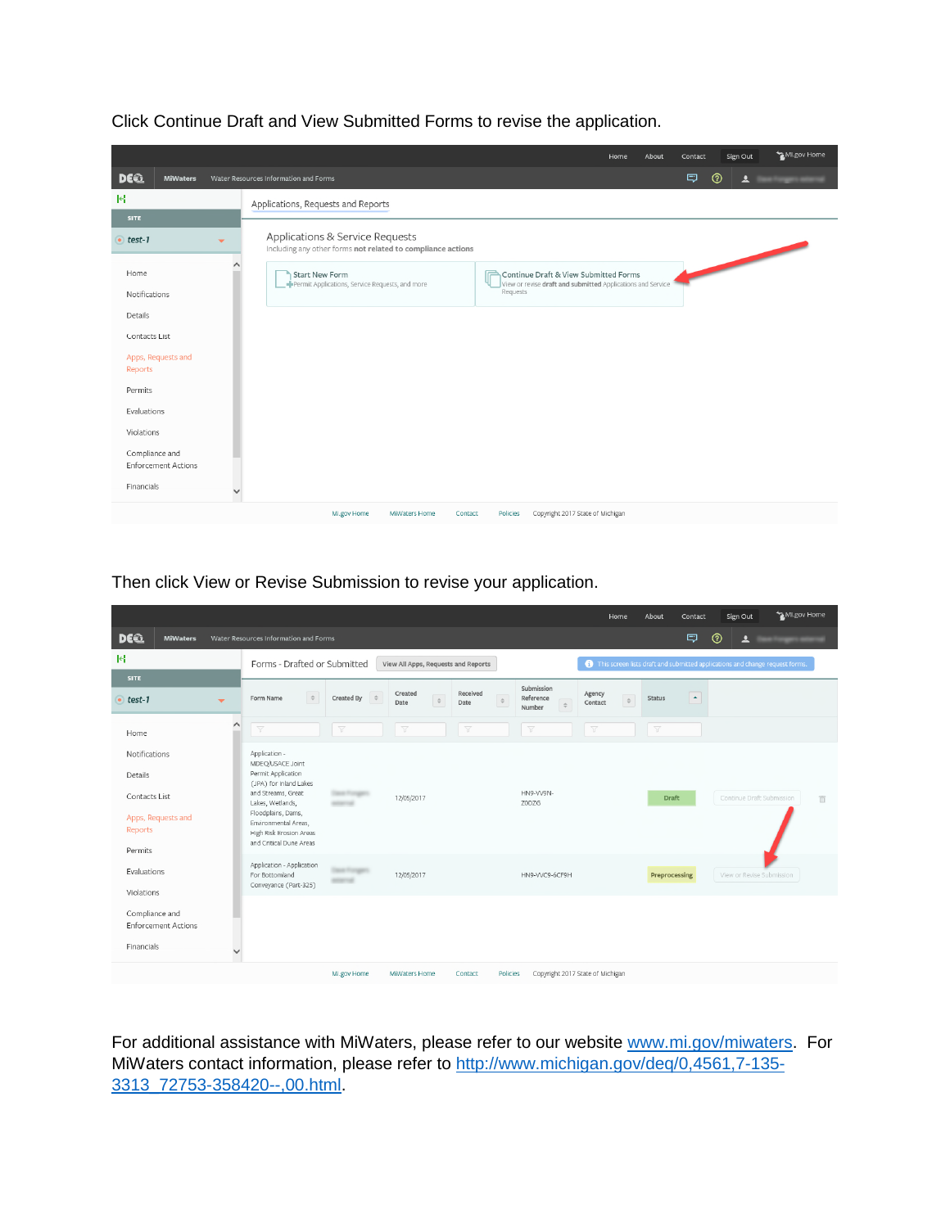|                                                                                                                                                                                          |                         |                                                                                                | Home                                                                                                             | About | Contact | Sign Out    | MI.gov Home    |
|------------------------------------------------------------------------------------------------------------------------------------------------------------------------------------------|-------------------------|------------------------------------------------------------------------------------------------|------------------------------------------------------------------------------------------------------------------|-------|---------|-------------|----------------|
| DE 2<br><b>MiWaters</b>                                                                                                                                                                  |                         | Water Resources Information and Forms                                                          |                                                                                                                  |       | Ξ       | $\circledR$ | $\overline{a}$ |
| R<br><b>SITE</b>                                                                                                                                                                         |                         | Applications, Requests and Reports                                                             |                                                                                                                  |       |         |             |                |
| test-1                                                                                                                                                                                   | $\overline{\mathbf{v}}$ | Applications & Service Requests<br>Including any other forms not related to compliance actions |                                                                                                                  |       |         |             |                |
| Home<br>Notifications<br>Details<br>Contacts List<br>Apps, Requests and<br>Reports<br>Permits<br>Evaluations<br>Violations<br>Compliance and<br><b>Enforcement Actions</b><br>Financials | $\checkmark$            | <b>Start New Form</b><br>Permit Applications, Service Requests, and more                       | Continue Draft & View Submitted Forms<br>View or revise draft and submitted Applications and Service<br>Requests |       |         |             |                |
|                                                                                                                                                                                          |                         | Ml.gov Home<br>MiWaters Home<br>Contact                                                        | Copyright 2017 State of Michigan<br>Policies                                                                     |       |         |             |                |

Click Continue Draft and View Submitted Forms to revise the application.

Then click View or Revise Submission to revise your application.

|                                                            |                                                                                                                |                                                                     |                |                           |        |                         |          |                                  |                         | Home          | About                   | Contact                                                                      | Sign Out                              | MI.gov Home |                         |  |  |  |
|------------------------------------------------------------|----------------------------------------------------------------------------------------------------------------|---------------------------------------------------------------------|----------------|---------------------------|--------|-------------------------|----------|----------------------------------|-------------------------|---------------|-------------------------|------------------------------------------------------------------------------|---------------------------------------|-------------|-------------------------|--|--|--|
| <b>DEE</b><br><b>MiWaters</b>                              | Water Resources Information and Forms                                                                          |                                                                     |                |                           |        |                         |          |                                  |                         |               |                         | ロ                                                                            | $^{\circ}$<br>$\overline{\mathbf{r}}$ |             |                         |  |  |  |
| <b>R</b>                                                   |                                                                                                                | Forms - Drafted or Submitted<br>View All Apps, Requests and Reports |                |                           |        |                         |          |                                  |                         |               |                         | This screen lists draft and submitted applications and change request forms. |                                       |             |                         |  |  |  |
| <b>SITE</b>                                                |                                                                                                                | Submission                                                          |                |                           |        |                         |          |                                  |                         |               |                         |                                                                              |                                       |             |                         |  |  |  |
| $\bullet$ test-1<br>$\overline{\mathbf{v}}$                | Form Name                                                                                                      | $\stackrel{\scriptscriptstyle \pm}{\scriptscriptstyle \mp}$         | Created By     | Created<br>$\div$<br>Date | $\div$ | Received<br>Date        | $\div$   | Reference<br>Number              | Agency<br>Contact       | $\Rightarrow$ | <b>Status</b>           | $\blacktriangle$                                                             |                                       |             |                         |  |  |  |
| Home                                                       | $\hat{\phantom{1}}$<br>$\overline{Y}$                                                                          |                                                                     | $\overline{Y}$ | $\overline{\mathbb{Y}}$   |        | $\overline{\mathbb{Y}}$ |          | $\overline{Y}$                   | $\overline{\mathbb{Y}}$ |               | $\overline{\mathbb{Y}}$ |                                                                              |                                       |             |                         |  |  |  |
| Notifications<br>Details                                   | Application -<br>MDEQ/USACE Joint<br>Permit Application                                                        |                                                                     |                |                           |        |                         |          |                                  |                         |               |                         |                                                                              |                                       |             |                         |  |  |  |
| Contacts List<br>Apps, Requests and<br>Reports             | (JPA) for Inland Lakes<br>and Streams, Great<br>Lakes, Wetlands,<br>Floodplains, Dams,<br>Environmental Areas, | High Risk Erosion Areas<br>and Critical Dune Areas                  |                | 12/05/2017                |        |                         |          | HN9-VV9N-<br>Z0DZG               |                         |               | <b>Draft</b>            |                                                                              | Continue Draft Submission             |             | $\overline{\mathbb{m}}$ |  |  |  |
| Permits<br>Evaluations<br>Violations                       | For Bottomland                                                                                                 | Application - Application<br>Conveyance (Part-325)                  |                | 12/05/2017                |        |                         |          | HN9-VVC9-6CF9H                   |                         |               | Preprocessing           |                                                                              | View or Revise Submission             |             |                         |  |  |  |
| Compliance and<br><b>Enforcement Actions</b><br>Financials | $\checkmark$                                                                                                   |                                                                     |                |                           |        |                         |          |                                  |                         |               |                         |                                                                              |                                       |             |                         |  |  |  |
|                                                            |                                                                                                                |                                                                     | MI.gov Home    | MiWaters Home             |        | Contact                 | Policies | Copyright 2017 State of Michigan |                         |               |                         |                                                                              |                                       |             |                         |  |  |  |

For additional assistance with MiWaters, please refer to our website [www.mi.gov/miwaters](http://www.mi.gov/miwaters). For MiWaters contact information, please refer to [http://www.michigan.gov/deq/0,4561,7-135-](http://www.michigan.gov/deq/0,4561,7-135-3313_72753-358420--,00.html) [3313\\_72753-358420--,00.html.](http://www.michigan.gov/deq/0,4561,7-135-3313_72753-358420--,00.html)